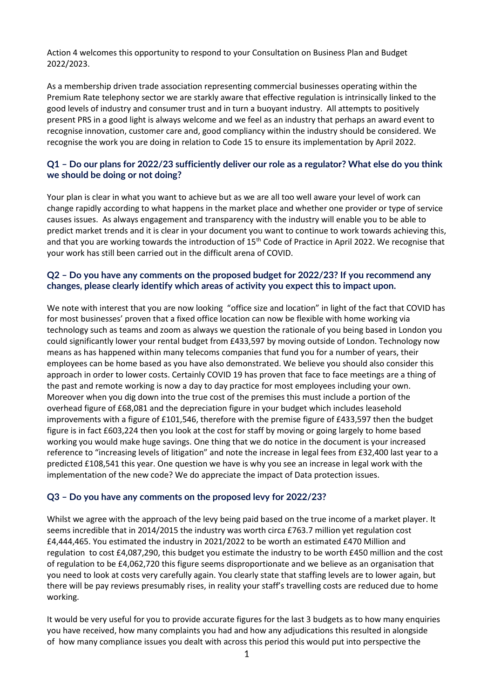Action 4 welcomes this opportunity to respond to your Consultation on Business Plan and Budget 2022/2023.

As a membership driven trade association representing commercial businesses operating within the Premium Rate telephony sector we are starkly aware that effective regulation is intrinsically linked to the good levels of industry and consumer trust and in turn a buoyant industry. All attempts to positively present PRS in a good light is always welcome and we feel as an industry that perhaps an award event to recognise innovation, customer care and, good compliancy within the industry should be considered. We recognise the work you are doing in relation to Code 15 to ensure its implementation by April 2022.

# **Q1 – Do our plans for 2022/23 sufficiently deliver our role as a regulator? What else do you think we should be doing or not doing?**

Your plan is clear in what you want to achieve but as we are all too well aware your level of work can change rapidly according to what happens in the market place and whether one provider or type of service causes issues. As always engagement and transparency with the industry will enable you to be able to predict market trends and it is clear in your document you want to continue to work towards achieving this, and that you are working towards the introduction of 15<sup>th</sup> Code of Practice in April 2022. We recognise that your work has still been carried out in the difficult arena of COVID.

# **Q2 – Do you have any comments on the proposed budget for 2022/23? If you recommend any changes, please clearly identify which areas of activity you expect this to impact upon.**

We note with interest that you are now looking "office size and location" in light of the fact that COVID has for most businesses' proven that a fixed office location can now be flexible with home working via technology such as teams and zoom as always we question the rationale of you being based in London you could significantly lower your rental budget from £433,597 by moving outside of London. Technology now means as has happened within many telecoms companies that fund you for a number of years, their employees can be home based as you have also demonstrated. We believe you should also consider this approach in order to lower costs. Certainly COVID 19 has proven that face to face meetings are a thing of the past and remote working is now a day to day practice for most employees including your own. Moreover when you dig down into the true cost of the premises this must include a portion of the overhead figure of £68,081 and the depreciation figure in your budget which includes leasehold improvements with a figure of £101,546, therefore with the premise figure of £433,597 then the budget figure is in fact £603,224 then you look at the cost for staff by moving or going largely to home based working you would make huge savings. One thing that we do notice in the document is your increased reference to "increasing levels of litigation" and note the increase in legal fees from £32,400 last year to a predicted £108,541 this year. One question we have is why you see an increase in legal work with the implementation of the new code? We do appreciate the impact of Data protection issues.

#### **Q3 – Do you have any comments on the proposed levy for 2022/23?**

Whilst we agree with the approach of the levy being paid based on the true income of a market player. It seems incredible that in 2014/2015 the industry was worth circa £763.7 million yet regulation cost £4,444,465. You estimated the industry in 2021/2022 to be worth an estimated £470 Million and regulation to cost £4,087,290, this budget you estimate the industry to be worth £450 million and the cost of regulation to be £4,062,720 this figure seems disproportionate and we believe as an organisation that you need to look at costs very carefully again. You clearly state that staffing levels are to lower again, but there will be pay reviews presumably rises, in reality your staff's travelling costs are reduced due to home working.

It would be very useful for you to provide accurate figures for the last 3 budgets as to how many enquiries you have received, how many complaints you had and how any adjudications this resulted in alongside of how many compliance issues you dealt with across this period this would put into perspective the